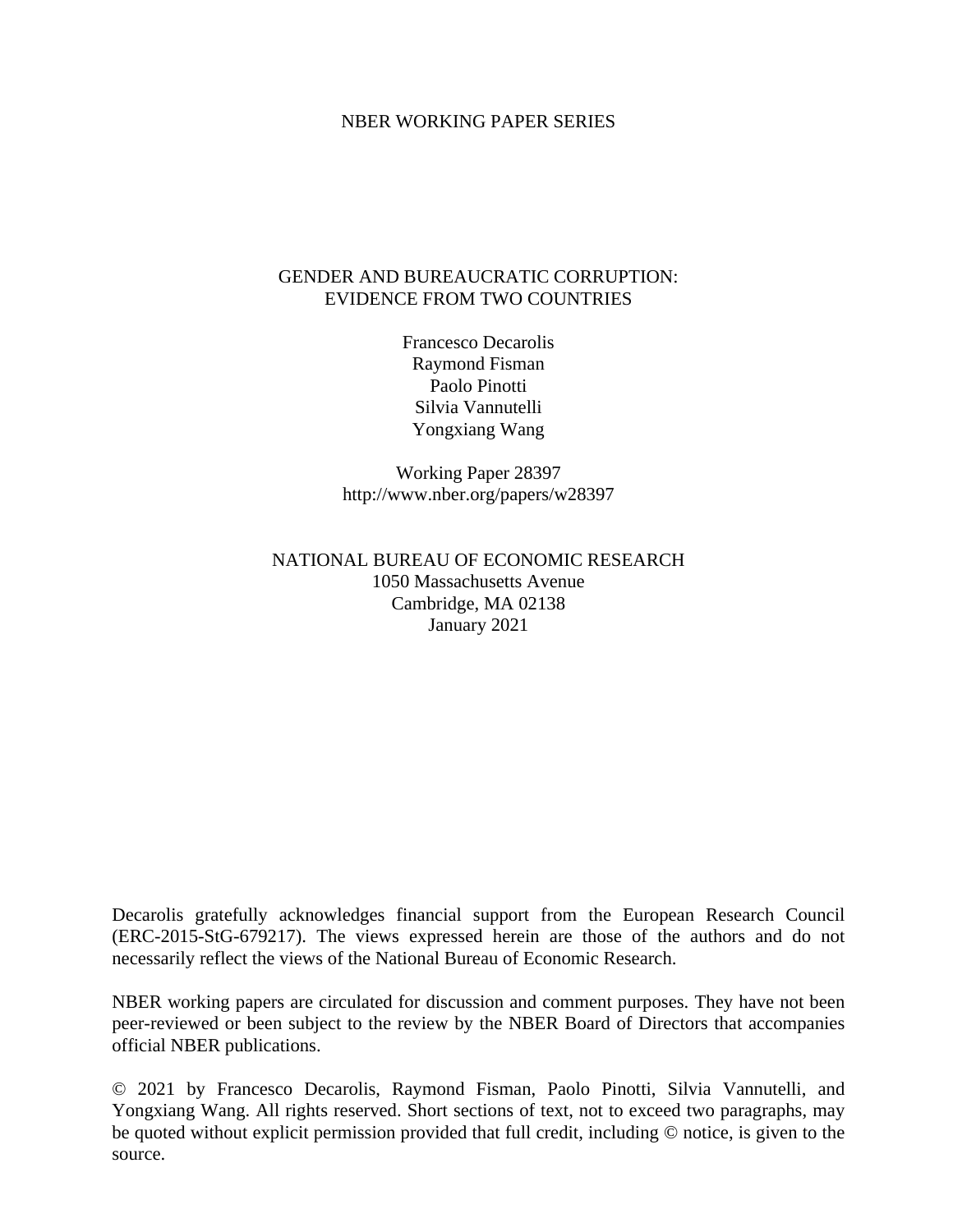#### NBER WORKING PAPER SERIES

#### GENDER AND BUREAUCRATIC CORRUPTION: EVIDENCE FROM TWO COUNTRIES

Francesco Decarolis Raymond Fisman Paolo Pinotti Silvia Vannutelli Yongxiang Wang

Working Paper 28397 http://www.nber.org/papers/w28397

NATIONAL BUREAU OF ECONOMIC RESEARCH 1050 Massachusetts Avenue Cambridge, MA 02138 January 2021

Decarolis gratefully acknowledges financial support from the European Research Council (ERC-2015-StG-679217). The views expressed herein are those of the authors and do not necessarily reflect the views of the National Bureau of Economic Research.

NBER working papers are circulated for discussion and comment purposes. They have not been peer-reviewed or been subject to the review by the NBER Board of Directors that accompanies official NBER publications.

© 2021 by Francesco Decarolis, Raymond Fisman, Paolo Pinotti, Silvia Vannutelli, and Yongxiang Wang. All rights reserved. Short sections of text, not to exceed two paragraphs, may be quoted without explicit permission provided that full credit, including © notice, is given to the source.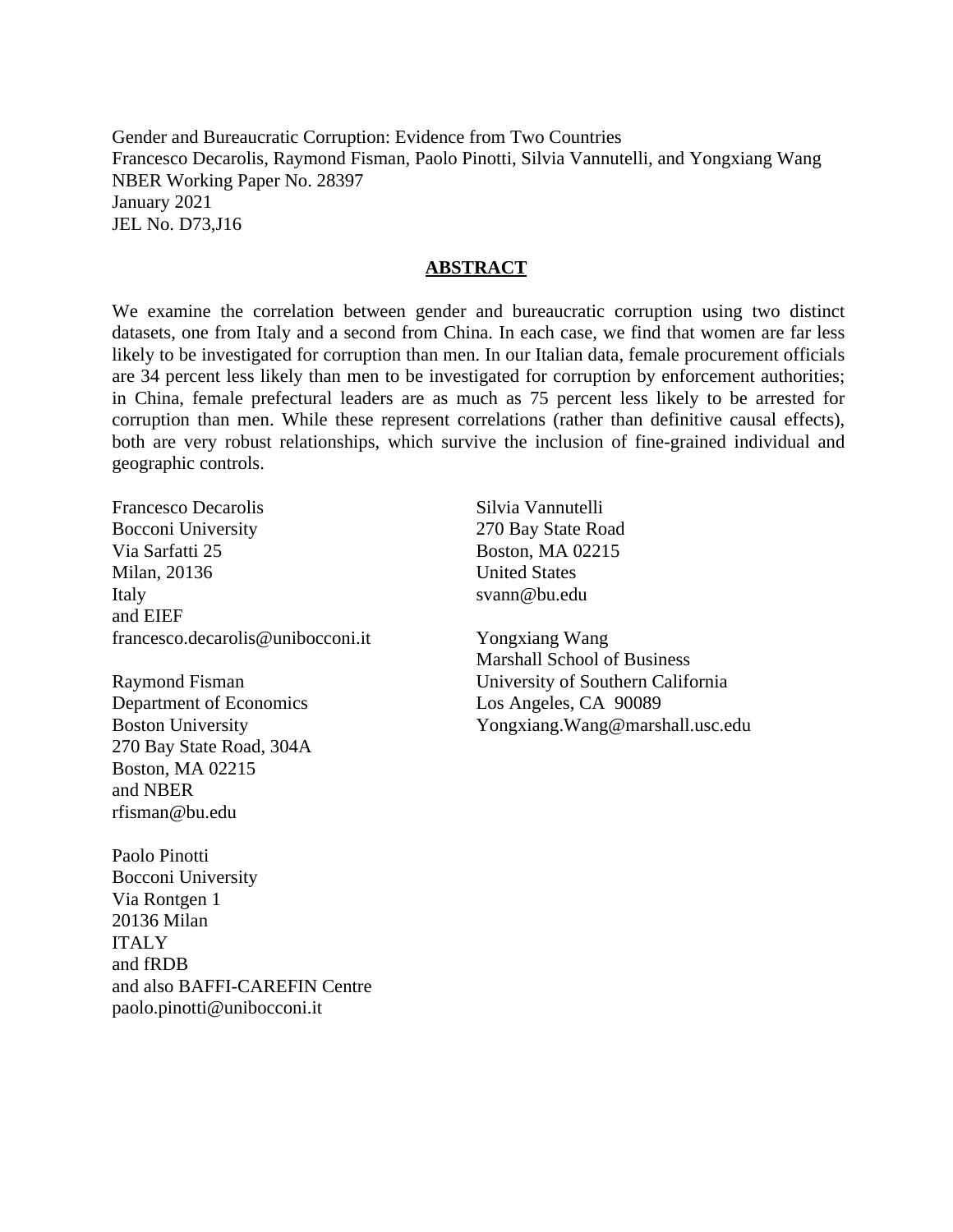Gender and Bureaucratic Corruption: Evidence from Two Countries Francesco Decarolis, Raymond Fisman, Paolo Pinotti, Silvia Vannutelli, and Yongxiang Wang NBER Working Paper No. 28397 January 2021 JEL No. D73,J16

#### **ABSTRACT**

We examine the correlation between gender and bureaucratic corruption using two distinct datasets, one from Italy and a second from China. In each case, we find that women are far less likely to be investigated for corruption than men. In our Italian data, female procurement officials are 34 percent less likely than men to be investigated for corruption by enforcement authorities; in China, female prefectural leaders are as much as 75 percent less likely to be arrested for corruption than men. While these represent correlations (rather than definitive causal effects), both are very robust relationships, which survive the inclusion of fine-grained individual and geographic controls.

Francesco Decarolis Bocconi University Via Sarfatti 25 Milan, 20136 Italy and EIEF francesco.decarolis@unibocconi.it

Raymond Fisman Department of Economics Boston University 270 Bay State Road, 304A Boston, MA 02215 and NBER rfisman@bu.edu

Paolo Pinotti Bocconi University Via Rontgen 1 20136 Milan ITALY and fRDB and also BAFFI-CAREFIN Centre paolo.pinotti@unibocconi.it

Silvia Vannutelli 270 Bay State Road Boston, MA 02215 United States svann@bu.edu

Yongxiang Wang Marshall School of Business University of Southern California Los Angeles, CA 90089 Yongxiang.Wang@marshall.usc.edu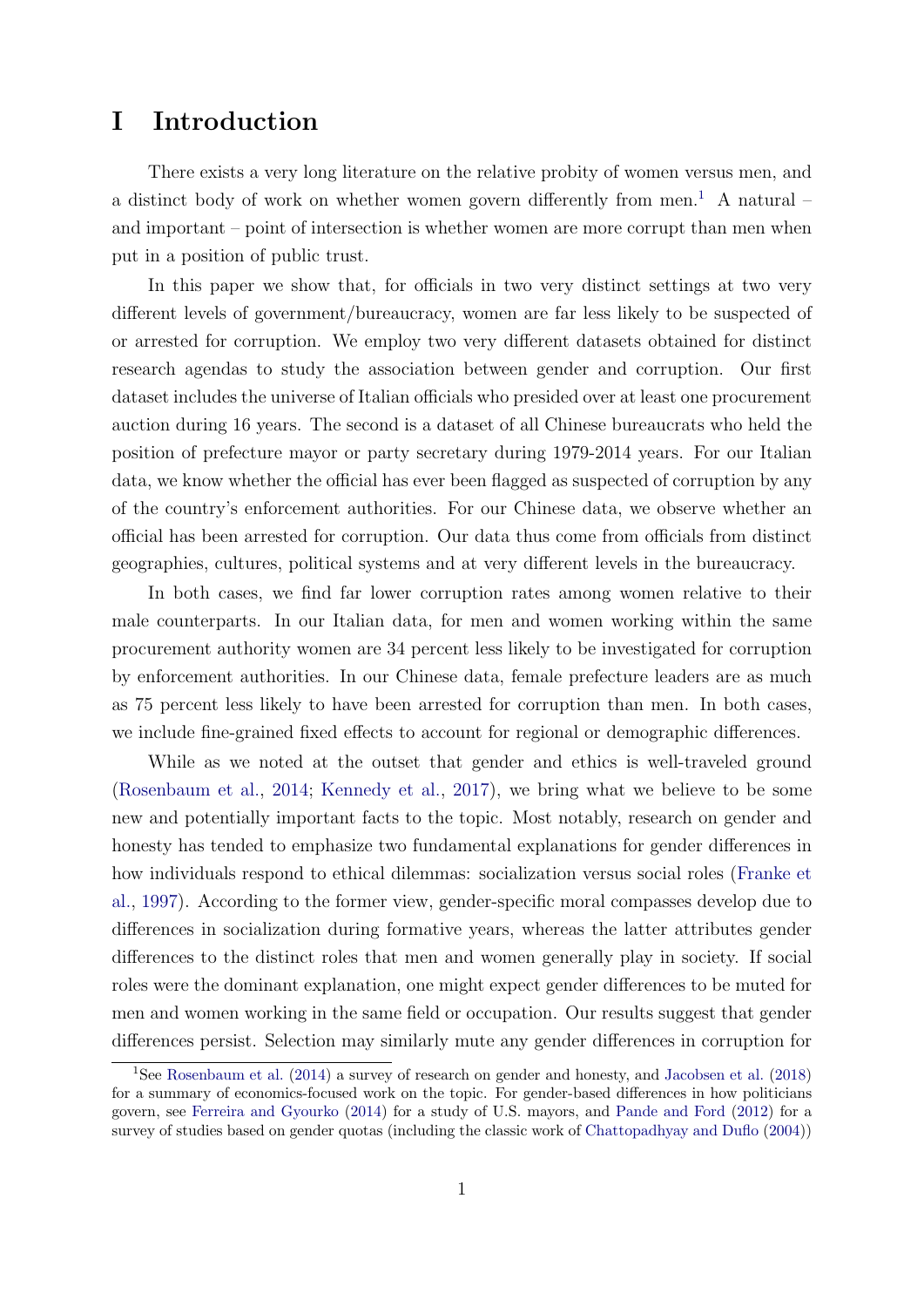### I Introduction

There exists a very long literature on the relative probity of women versus men, and a distinct body of work on whether women govern differently from men.<sup>[1](#page-2-0)</sup> A natural – and important – point of intersection is whether women are more corrupt than men when put in a position of public trust.

In this paper we show that, for officials in two very distinct settings at two very different levels of government/bureaucracy, women are far less likely to be suspected of or arrested for corruption. We employ two very different datasets obtained for distinct research agendas to study the association between gender and corruption. Our first dataset includes the universe of Italian officials who presided over at least one procurement auction during 16 years. The second is a dataset of all Chinese bureaucrats who held the position of prefecture mayor or party secretary during 1979-2014 years. For our Italian data, we know whether the official has ever been flagged as suspected of corruption by any of the country's enforcement authorities. For our Chinese data, we observe whether an official has been arrested for corruption. Our data thus come from officials from distinct geographies, cultures, political systems and at very different levels in the bureaucracy.

In both cases, we find far lower corruption rates among women relative to their male counterparts. In our Italian data, for men and women working within the same procurement authority women are 34 percent less likely to be investigated for corruption by enforcement authorities. In our Chinese data, female prefecture leaders are as much as 75 percent less likely to have been arrested for corruption than men. In both cases, we include fine-grained fixed effects to account for regional or demographic differences.

While as we noted at the outset that gender and ethics is well-traveled ground [\(Rosenbaum et al.,](#page-12-0) [2014;](#page-12-0) [Kennedy et al.,](#page-12-1) [2017\)](#page-12-1), we bring what we believe to be some new and potentially important facts to the topic. Most notably, research on gender and honesty has tended to emphasize two fundamental explanations for gender differences in how individuals respond to ethical dilemmas: socialization versus social roles [\(Franke et](#page-11-0) [al.,](#page-11-0) [1997\)](#page-11-0). According to the former view, gender-specific moral compasses develop due to differences in socialization during formative years, whereas the latter attributes gender differences to the distinct roles that men and women generally play in society. If social roles were the dominant explanation, one might expect gender differences to be muted for men and women working in the same field or occupation. Our results suggest that gender differences persist. Selection may similarly mute any gender differences in corruption for

<span id="page-2-0"></span><sup>&</sup>lt;sup>1</sup>See [Rosenbaum et al.](#page-12-0) [\(2014\)](#page-12-0) a survey of research on gender and honesty, and [Jacobsen et al.](#page-12-2) [\(2018\)](#page-12-2) for a summary of economics-focused work on the topic. For gender-based differences in how politicians govern, see [Ferreira and Gyourko](#page-11-1) [\(2014\)](#page-11-1) for a study of U.S. mayors, and [Pande and Ford](#page-12-3) [\(2012\)](#page-12-3) for a survey of studies based on gender quotas (including the classic work of [Chattopadhyay and Duflo](#page-11-2) [\(2004\)](#page-11-2))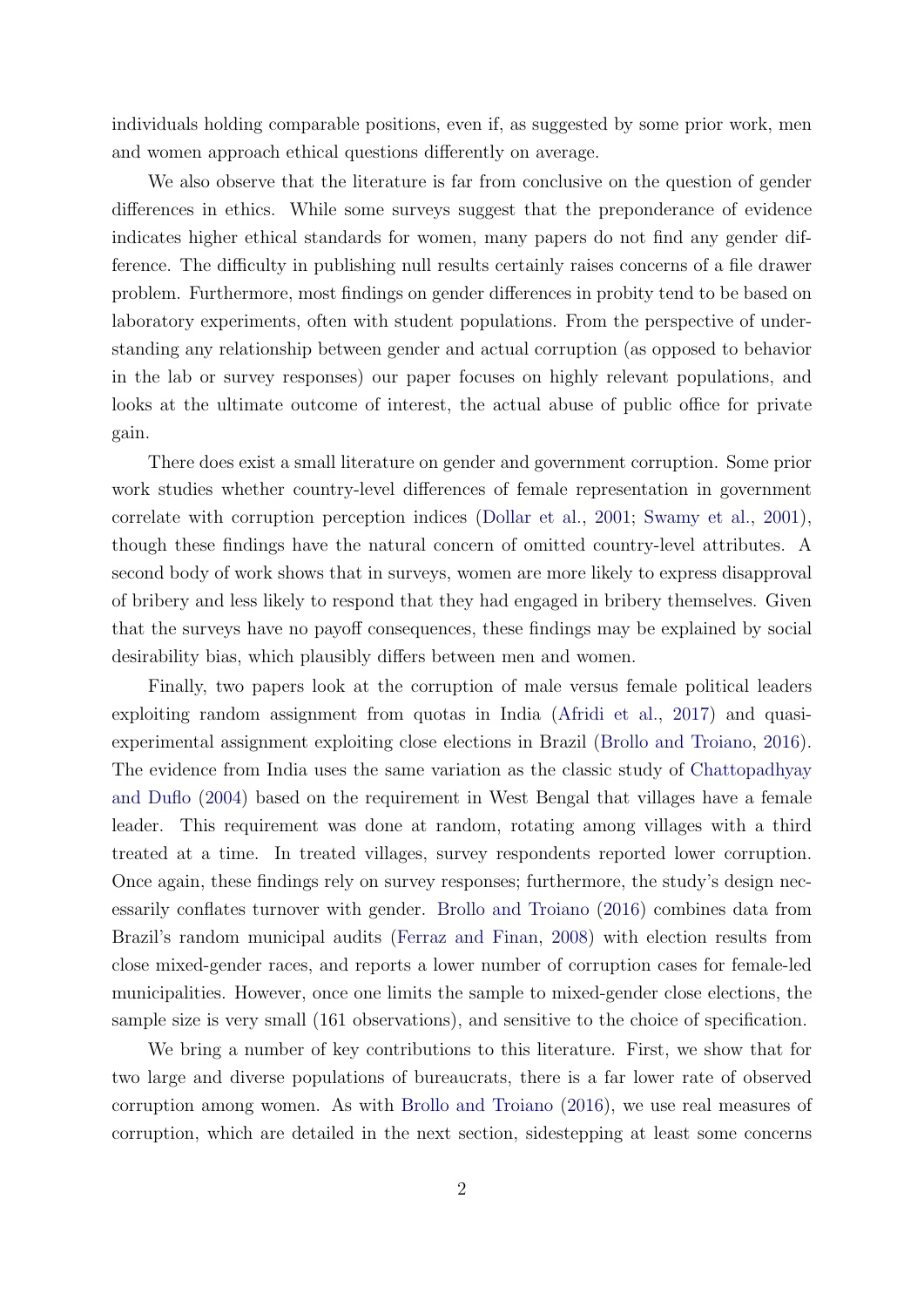individuals holding comparable positions, even if, as suggested by some prior work, men and women approach ethical questions differently on average.

We also observe that the literature is far from conclusive on the question of gender differences in ethics. While some surveys suggest that the preponderance of evidence indicates higher ethical standards for women, many papers do not find any gender difference. The difficulty in publishing null results certainly raises concerns of a file drawer problem. Furthermore, most findings on gender differences in probity tend to be based on laboratory experiments, often with student populations. From the perspective of understanding any relationship between gender and actual corruption (as opposed to behavior in the lab or survey responses) our paper focuses on highly relevant populations, and looks at the ultimate outcome of interest, the actual abuse of public office for private gain.

There does exist a small literature on gender and government corruption. Some prior work studies whether country-level differences of female representation in government correlate with corruption perception indices [\(Dollar et al.,](#page-11-3) [2001;](#page-11-3) [Swamy et al.,](#page-12-4) [2001\)](#page-12-4), though these findings have the natural concern of omitted country-level attributes. A second body of work shows that in surveys, women are more likely to express disapproval of bribery and less likely to respond that they had engaged in bribery themselves. Given that the surveys have no payoff consequences, these findings may be explained by social desirability bias, which plausibly differs between men and women.

Finally, two papers look at the corruption of male versus female political leaders exploiting random assignment from quotas in India [\(Afridi et al.,](#page-11-4) [2017\)](#page-11-4) and quasiexperimental assignment exploiting close elections in Brazil [\(Brollo and Troiano,](#page-11-5) [2016\)](#page-11-5). The evidence from India uses the same variation as the classic study of [Chattopadhyay](#page-11-2) [and Duflo](#page-11-2) [\(2004\)](#page-11-2) based on the requirement in West Bengal that villages have a female leader. This requirement was done at random, rotating among villages with a third treated at a time. In treated villages, survey respondents reported lower corruption. Once again, these findings rely on survey responses; furthermore, the study's design necessarily conflates turnover with gender. [Brollo and Troiano](#page-11-5) [\(2016\)](#page-11-5) combines data from Brazil's random municipal audits [\(Ferraz and Finan,](#page-11-6) [2008\)](#page-11-6) with election results from close mixed-gender races, and reports a lower number of corruption cases for female-led municipalities. However, once one limits the sample to mixed-gender close elections, the sample size is very small (161 observations), and sensitive to the choice of specification.

We bring a number of key contributions to this literature. First, we show that for two large and diverse populations of bureaucrats, there is a far lower rate of observed corruption among women. As with [Brollo and Troiano](#page-11-5) [\(2016\)](#page-11-5), we use real measures of corruption, which are detailed in the next section, sidestepping at least some concerns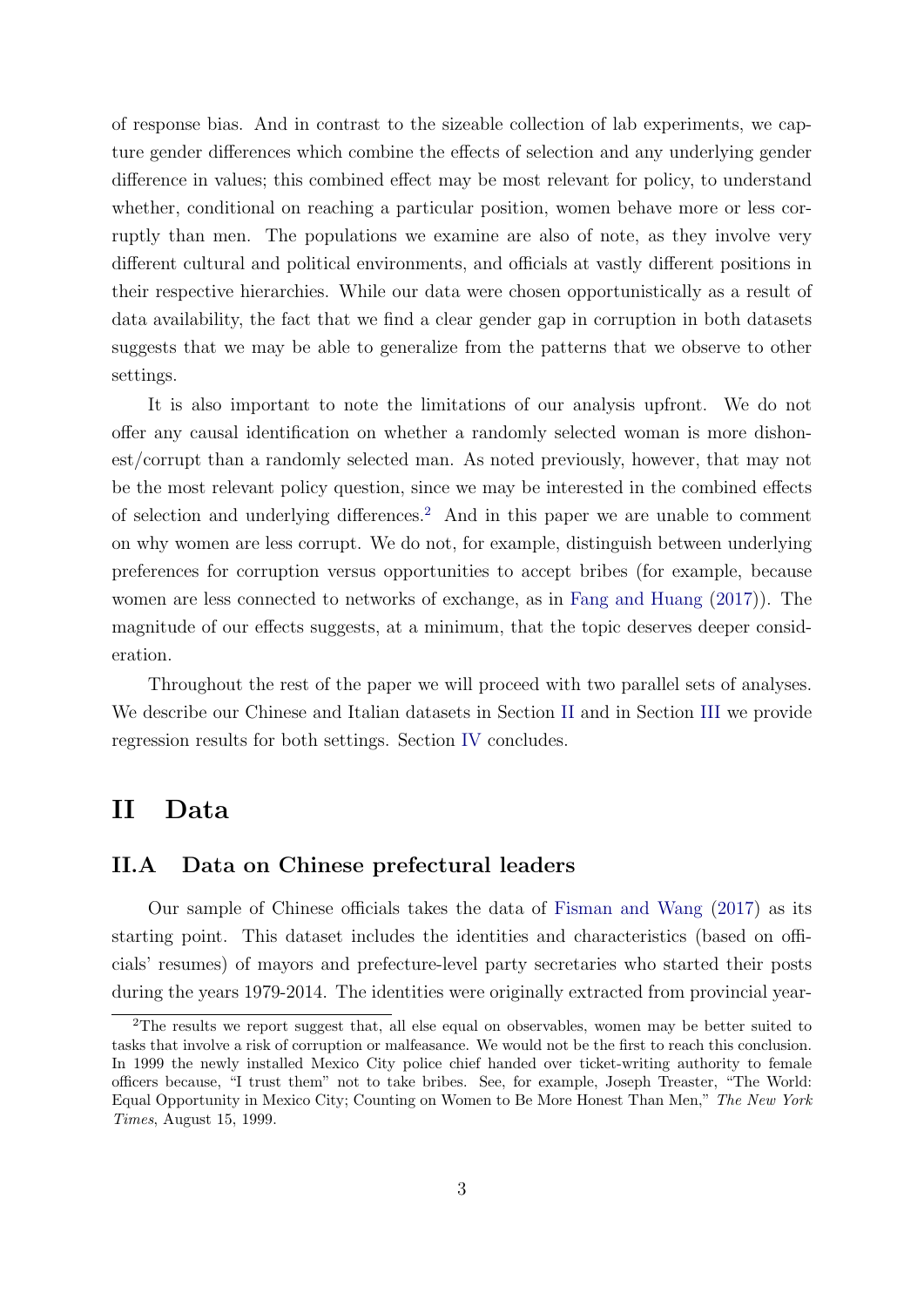of response bias. And in contrast to the sizeable collection of lab experiments, we capture gender differences which combine the effects of selection and any underlying gender difference in values; this combined effect may be most relevant for policy, to understand whether, conditional on reaching a particular position, women behave more or less corruptly than men. The populations we examine are also of note, as they involve very different cultural and political environments, and officials at vastly different positions in their respective hierarchies. While our data were chosen opportunistically as a result of data availability, the fact that we find a clear gender gap in corruption in both datasets suggests that we may be able to generalize from the patterns that we observe to other settings.

It is also important to note the limitations of our analysis upfront. We do not offer any causal identification on whether a randomly selected woman is more dishonest/corrupt than a randomly selected man. As noted previously, however, that may not be the most relevant policy question, since we may be interested in the combined effects of selection and underlying differences.[2](#page-4-0) And in this paper we are unable to comment on why women are less corrupt. We do not, for example, distinguish between underlying preferences for corruption versus opportunities to accept bribes (for example, because women are less connected to networks of exchange, as in [Fang and Huang](#page-11-7) [\(2017\)](#page-11-7)). The magnitude of our effects suggests, at a minimum, that the topic deserves deeper consideration.

Throughout the rest of the paper we will proceed with two parallel sets of analyses. We describe our Chinese and Italian datasets in Section [II](#page-4-1) and in Section [III](#page-7-0) we provide regression results for both settings. Section [IV](#page-9-0) concludes.

### <span id="page-4-1"></span>II Data

#### II.A Data on Chinese prefectural leaders

Our sample of Chinese officials takes the data of [Fisman and Wang](#page-11-8) [\(2017\)](#page-11-8) as its starting point. This dataset includes the identities and characteristics (based on officials' resumes) of mayors and prefecture-level party secretaries who started their posts during the years 1979-2014. The identities were originally extracted from provincial year-

<span id="page-4-0"></span><sup>2</sup>The results we report suggest that, all else equal on observables, women may be better suited to tasks that involve a risk of corruption or malfeasance. We would not be the first to reach this conclusion. In 1999 the newly installed Mexico City police chief handed over ticket-writing authority to female officers because, "I trust them" not to take bribes. See, for example, Joseph Treaster, "The World: Equal Opportunity in Mexico City; Counting on Women to Be More Honest Than Men," The New York Times, August 15, 1999.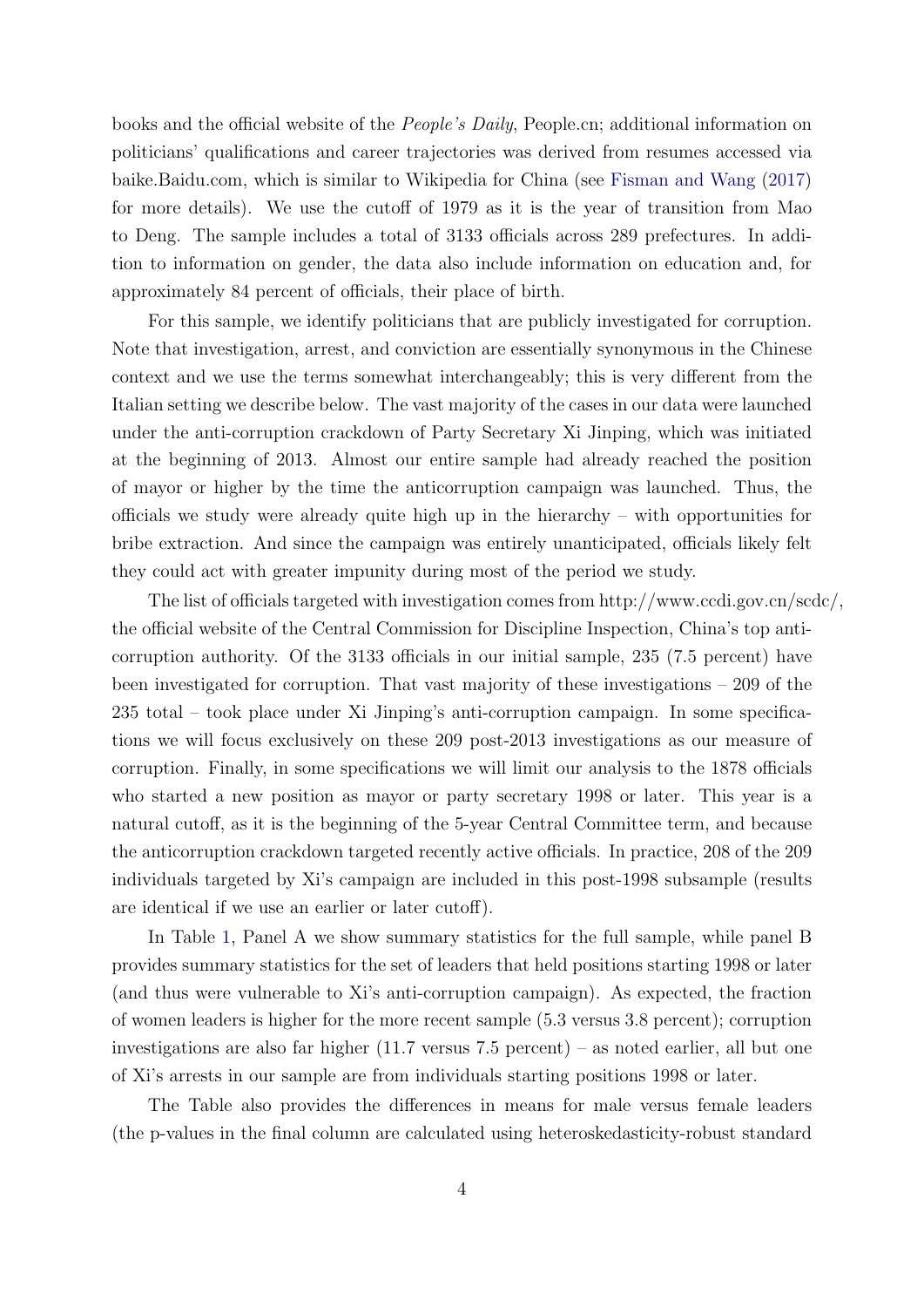books and the official website of the People's Daily, People.cn; additional information on politicians' qualifications and career trajectories was derived from resumes accessed via baike.Baidu.com, which is similar to Wikipedia for China (see [Fisman and Wang](#page-11-8) [\(2017\)](#page-11-8) for more details). We use the cutoff of 1979 as it is the year of transition from Mao to Deng. The sample includes a total of 3133 officials across 289 prefectures. In addition to information on gender, the data also include information on education and, for approximately 84 percent of officials, their place of birth.

For this sample, we identify politicians that are publicly investigated for corruption. Note that investigation, arrest, and conviction are essentially synonymous in the Chinese context and we use the terms somewhat interchangeably; this is very different from the Italian setting we describe below. The vast majority of the cases in our data were launched under the anti-corruption crackdown of Party Secretary Xi Jinping, which was initiated at the beginning of 2013. Almost our entire sample had already reached the position of mayor or higher by the time the anticorruption campaign was launched. Thus, the officials we study were already quite high up in the hierarchy – with opportunities for bribe extraction. And since the campaign was entirely unanticipated, officials likely felt they could act with greater impunity during most of the period we study.

The list of officials targeted with investigation comes from http://www.ccdi.gov.cn/scdc/, the official website of the Central Commission for Discipline Inspection, China's top anticorruption authority. Of the 3133 officials in our initial sample, 235 (7.5 percent) have been investigated for corruption. That vast majority of these investigations – 209 of the 235 total – took place under Xi Jinping's anti-corruption campaign. In some specifications we will focus exclusively on these 209 post-2013 investigations as our measure of corruption. Finally, in some specifications we will limit our analysis to the 1878 officials who started a new position as mayor or party secretary 1998 or later. This year is a natural cutoff, as it is the beginning of the 5-year Central Committee term, and because the anticorruption crackdown targeted recently active officials. In practice, 208 of the 209 individuals targeted by Xi's campaign are included in this post-1998 subsample (results are identical if we use an earlier or later cutoff).

In Table [1,](#page-13-0) Panel A we show summary statistics for the full sample, while panel B provides summary statistics for the set of leaders that held positions starting 1998 or later (and thus were vulnerable to Xi's anti-corruption campaign). As expected, the fraction of women leaders is higher for the more recent sample (5.3 versus 3.8 percent); corruption investigations are also far higher (11.7 versus 7.5 percent) – as noted earlier, all but one of Xi's arrests in our sample are from individuals starting positions 1998 or later.

The Table also provides the differences in means for male versus female leaders (the p-values in the final column are calculated using heteroskedasticity-robust standard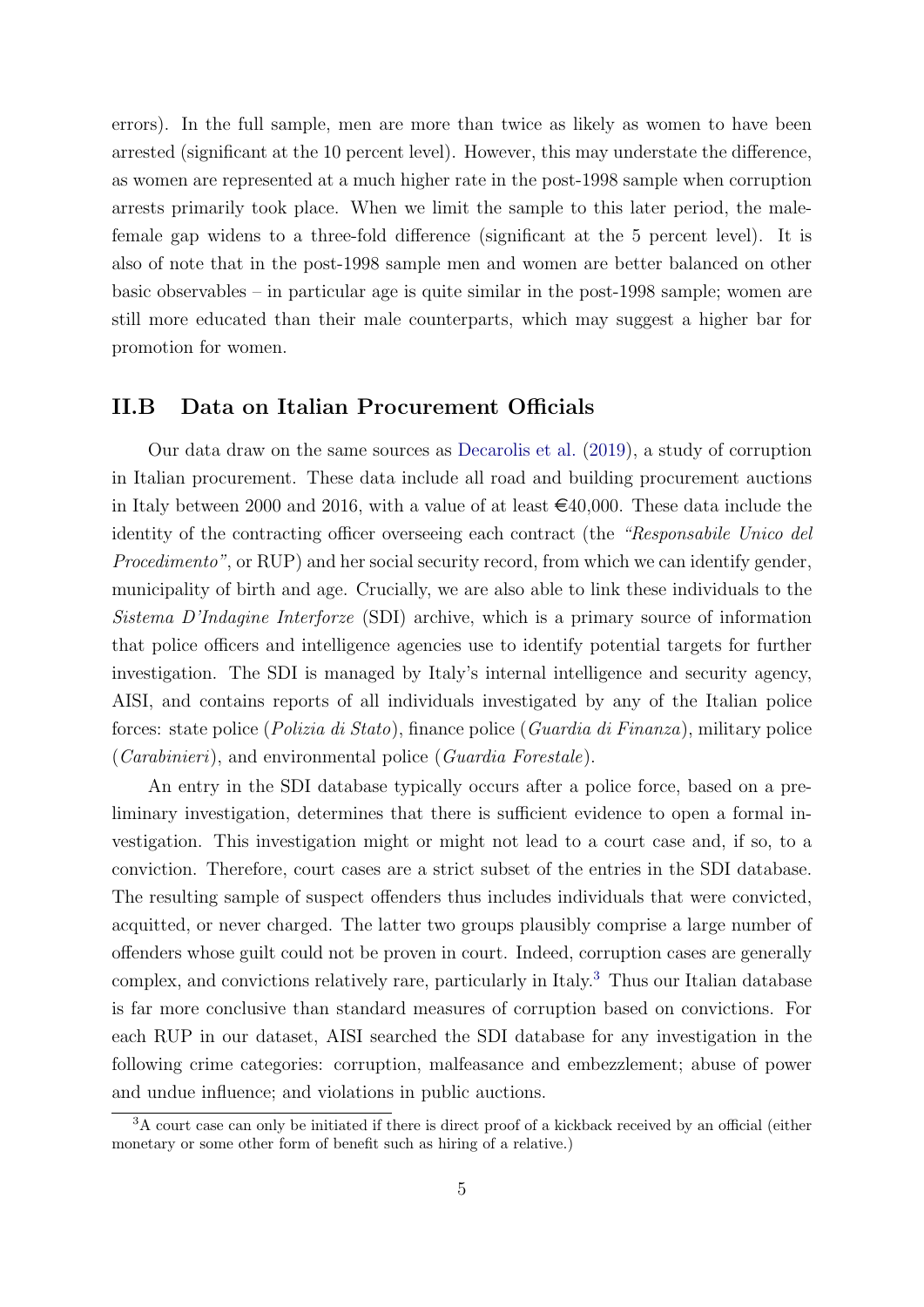errors). In the full sample, men are more than twice as likely as women to have been arrested (significant at the 10 percent level). However, this may understate the difference, as women are represented at a much higher rate in the post-1998 sample when corruption arrests primarily took place. When we limit the sample to this later period, the malefemale gap widens to a three-fold difference (significant at the 5 percent level). It is also of note that in the post-1998 sample men and women are better balanced on other basic observables – in particular age is quite similar in the post-1998 sample; women are still more educated than their male counterparts, which may suggest a higher bar for promotion for women.

#### II.B Data on Italian Procurement Officials

Our data draw on the same sources as [Decarolis et al.](#page-11-9) [\(2019\)](#page-11-9), a study of corruption in Italian procurement. These data include all road and building procurement auctions in Italy between 2000 and 2016, with a value of at least  $\epsilon$ 40,000. These data include the identity of the contracting officer overseeing each contract (the "Responsabile Unico del Procedimento", or RUP) and her social security record, from which we can identify gender, municipality of birth and age. Crucially, we are also able to link these individuals to the Sistema D'Indagine Interforze (SDI) archive, which is a primary source of information that police officers and intelligence agencies use to identify potential targets for further investigation. The SDI is managed by Italy's internal intelligence and security agency, AISI, and contains reports of all individuals investigated by any of the Italian police forces: state police (Polizia di Stato), finance police (Guardia di Finanza), military police (Carabinieri), and environmental police (Guardia Forestale).

An entry in the SDI database typically occurs after a police force, based on a preliminary investigation, determines that there is sufficient evidence to open a formal investigation. This investigation might or might not lead to a court case and, if so, to a conviction. Therefore, court cases are a strict subset of the entries in the SDI database. The resulting sample of suspect offenders thus includes individuals that were convicted, acquitted, or never charged. The latter two groups plausibly comprise a large number of offenders whose guilt could not be proven in court. Indeed, corruption cases are generally complex, and convictions relatively rare, particularly in Italy.[3](#page-6-0) Thus our Italian database is far more conclusive than standard measures of corruption based on convictions. For each RUP in our dataset, AISI searched the SDI database for any investigation in the following crime categories: corruption, malfeasance and embezzlement; abuse of power and undue influence; and violations in public auctions.

<span id="page-6-0"></span><sup>&</sup>lt;sup>3</sup>A court case can only be initiated if there is direct proof of a kickback received by an official (either monetary or some other form of benefit such as hiring of a relative.)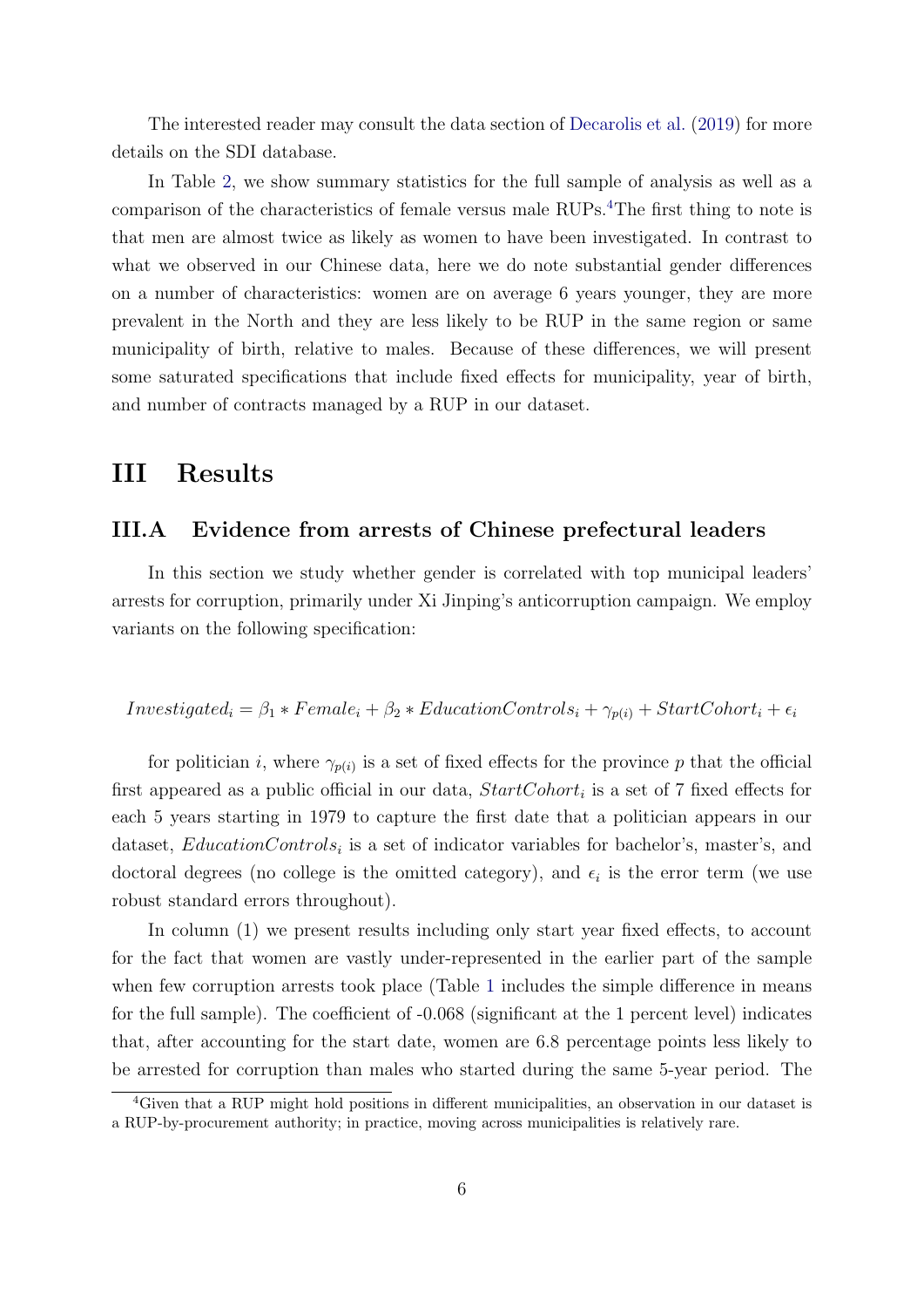The interested reader may consult the data section of [Decarolis et al.](#page-11-9) [\(2019\)](#page-11-9) for more details on the SDI database.

In Table [2,](#page-14-0) we show summary statistics for the full sample of analysis as well as a comparison of the characteristics of female versus male RUPs.<sup>[4](#page-7-1)</sup>The first thing to note is that men are almost twice as likely as women to have been investigated. In contrast to what we observed in our Chinese data, here we do note substantial gender differences on a number of characteristics: women are on average 6 years younger, they are more prevalent in the North and they are less likely to be RUP in the same region or same municipality of birth, relative to males. Because of these differences, we will present some saturated specifications that include fixed effects for municipality, year of birth, and number of contracts managed by a RUP in our dataset.

## <span id="page-7-0"></span>III Results

#### III.A Evidence from arrests of Chinese prefectural leaders

In this section we study whether gender is correlated with top municipal leaders' arrests for corruption, primarily under Xi Jinping's anticorruption campaign. We employ variants on the following specification:

### $Investigated_i = \beta_1 * Female_i + \beta_2 * EducationControls_i + \gamma_{p(i)} + StartColor_i + \epsilon_i$

for politician *i*, where  $\gamma_{p(i)}$  is a set of fixed effects for the province p that the official first appeared as a public official in our data,  $StartColor_i$  is a set of 7 fixed effects for each 5 years starting in 1979 to capture the first date that a politician appears in our dataset,  $EducationControls_i$  is a set of indicator variables for bachelor's, master's, and doctoral degrees (no college is the omitted category), and  $\epsilon_i$  is the error term (we use robust standard errors throughout).

In column (1) we present results including only start year fixed effects, to account for the fact that women are vastly under-represented in the earlier part of the sample when few corruption arrests took place (Table [1](#page-13-0) includes the simple difference in means for the full sample). The coefficient of -0.068 (significant at the 1 percent level) indicates that, after accounting for the start date, women are 6.8 percentage points less likely to be arrested for corruption than males who started during the same 5-year period. The

<span id="page-7-1"></span><sup>4</sup>Given that a RUP might hold positions in different municipalities, an observation in our dataset is a RUP-by-procurement authority; in practice, moving across municipalities is relatively rare.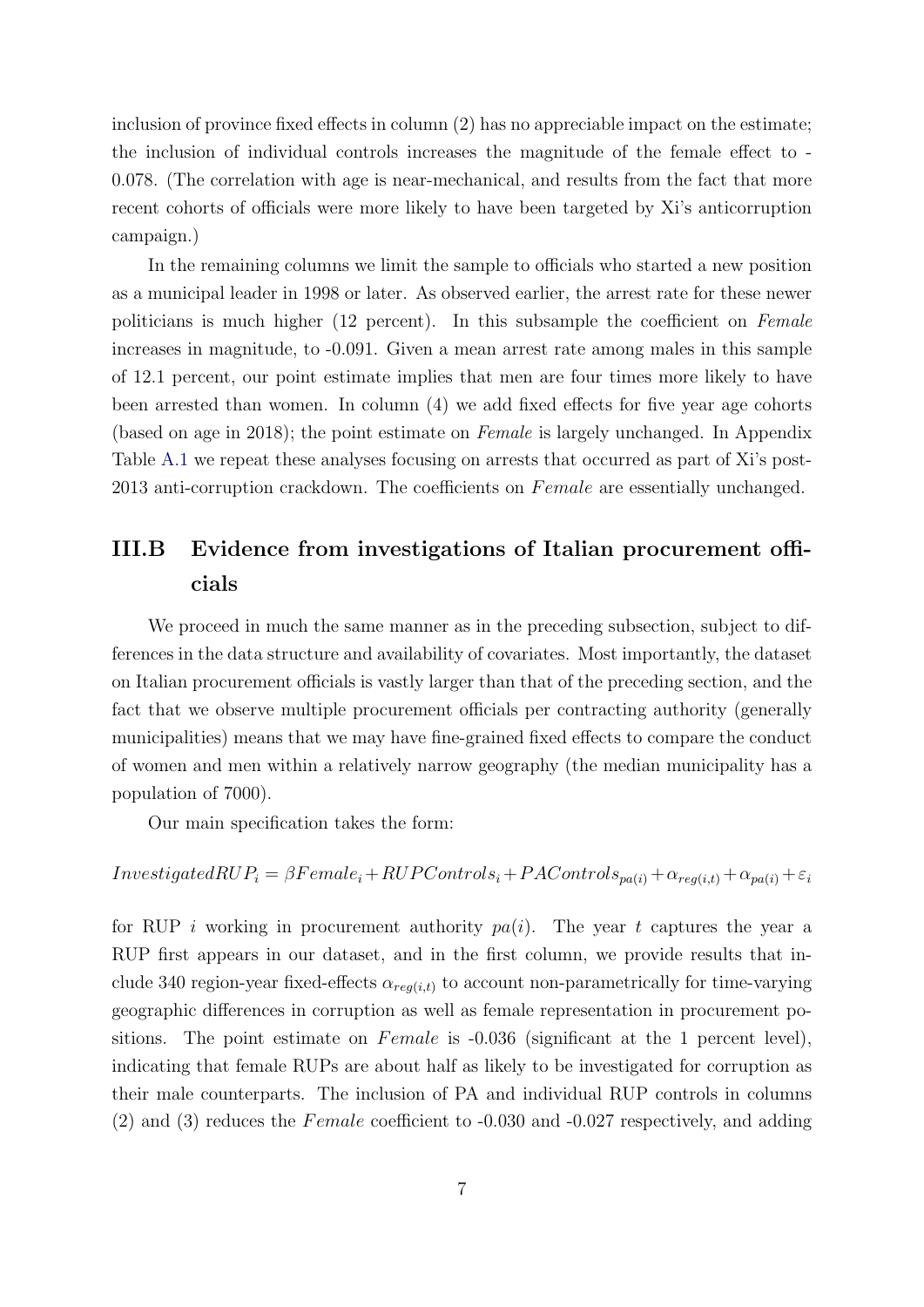inclusion of province fixed effects in column (2) has no appreciable impact on the estimate; the inclusion of individual controls increases the magnitude of the female effect to - 0.078. (The correlation with age is near-mechanical, and results from the fact that more recent cohorts of officials were more likely to have been targeted by Xi's anticorruption campaign.)

In the remaining columns we limit the sample to officials who started a new position as a municipal leader in 1998 or later. As observed earlier, the arrest rate for these newer politicians is much higher (12 percent). In this subsample the coefficient on Female increases in magnitude, to -0.091. Given a mean arrest rate among males in this sample of 12.1 percent, our point estimate implies that men are four times more likely to have been arrested than women. In column (4) we add fixed effects for five year age cohorts (based on age in 2018); the point estimate on Female is largely unchanged. In Appendix Table [A.1](#page-17-0) we repeat these analyses focusing on arrests that occurred as part of Xi's post-2013 anti-corruption crackdown. The coefficients on Female are essentially unchanged.

### III.B Evidence from investigations of Italian procurement officials

We proceed in much the same manner as in the preceding subsection, subject to differences in the data structure and availability of covariates. Most importantly, the dataset on Italian procurement officials is vastly larger than that of the preceding section, and the fact that we observe multiple procurement officials per contracting authority (generally municipalities) means that we may have fine-grained fixed effects to compare the conduct of women and men within a relatively narrow geography (the median municipality has a population of 7000).

Our main specification takes the form:

 $Investigated RUP_i = \beta Female_i + RUPControls_i + PAC on trols_{pa(i)} + \alpha_{req(i,t)} + \alpha_{pa(i)} + \varepsilon_i$ 

for RUP i working in procurement authority  $pa(i)$ . The year t captures the year a RUP first appears in our dataset, and in the first column, we provide results that include 340 region-year fixed-effects  $\alpha_{reg(i,t)}$  to account non-parametrically for time-varying geographic differences in corruption as well as female representation in procurement positions. The point estimate on  $Female$  is  $-0.036$  (significant at the 1 percent level), indicating that female RUPs are about half as likely to be investigated for corruption as their male counterparts. The inclusion of PA and individual RUP controls in columns  $(2)$  and  $(3)$  reduces the *Female* coefficient to  $-0.030$  and  $-0.027$  respectively, and adding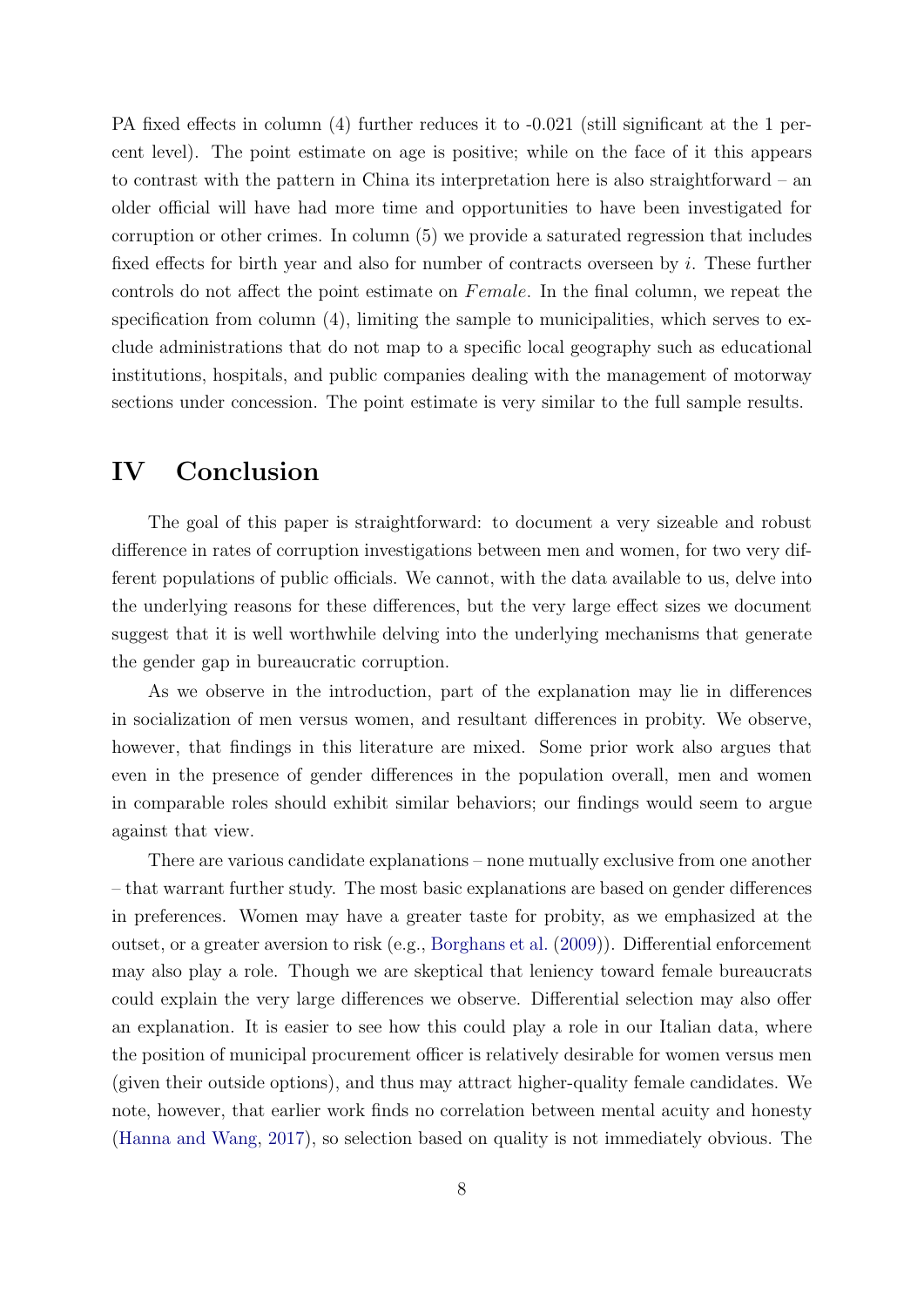PA fixed effects in column (4) further reduces it to  $-0.021$  (still significant at the 1 percent level). The point estimate on age is positive; while on the face of it this appears to contrast with the pattern in China its interpretation here is also straightforward – an older official will have had more time and opportunities to have been investigated for corruption or other crimes. In column (5) we provide a saturated regression that includes fixed effects for birth year and also for number of contracts overseen by i. These further controls do not affect the point estimate on Female. In the final column, we repeat the specification from column (4), limiting the sample to municipalities, which serves to exclude administrations that do not map to a specific local geography such as educational institutions, hospitals, and public companies dealing with the management of motorway sections under concession. The point estimate is very similar to the full sample results.

## <span id="page-9-0"></span>IV Conclusion

The goal of this paper is straightforward: to document a very sizeable and robust difference in rates of corruption investigations between men and women, for two very different populations of public officials. We cannot, with the data available to us, delve into the underlying reasons for these differences, but the very large effect sizes we document suggest that it is well worthwhile delving into the underlying mechanisms that generate the gender gap in bureaucratic corruption.

As we observe in the introduction, part of the explanation may lie in differences in socialization of men versus women, and resultant differences in probity. We observe, however, that findings in this literature are mixed. Some prior work also argues that even in the presence of gender differences in the population overall, men and women in comparable roles should exhibit similar behaviors; our findings would seem to argue against that view.

There are various candidate explanations – none mutually exclusive from one another – that warrant further study. The most basic explanations are based on gender differences in preferences. Women may have a greater taste for probity, as we emphasized at the outset, or a greater aversion to risk (e.g., [Borghans et al.](#page-11-10) [\(2009\)](#page-11-10)). Differential enforcement may also play a role. Though we are skeptical that leniency toward female bureaucrats could explain the very large differences we observe. Differential selection may also offer an explanation. It is easier to see how this could play a role in our Italian data, where the position of municipal procurement officer is relatively desirable for women versus men (given their outside options), and thus may attract higher-quality female candidates. We note, however, that earlier work finds no correlation between mental acuity and honesty [\(Hanna and Wang,](#page-11-11) [2017\)](#page-11-11), so selection based on quality is not immediately obvious. The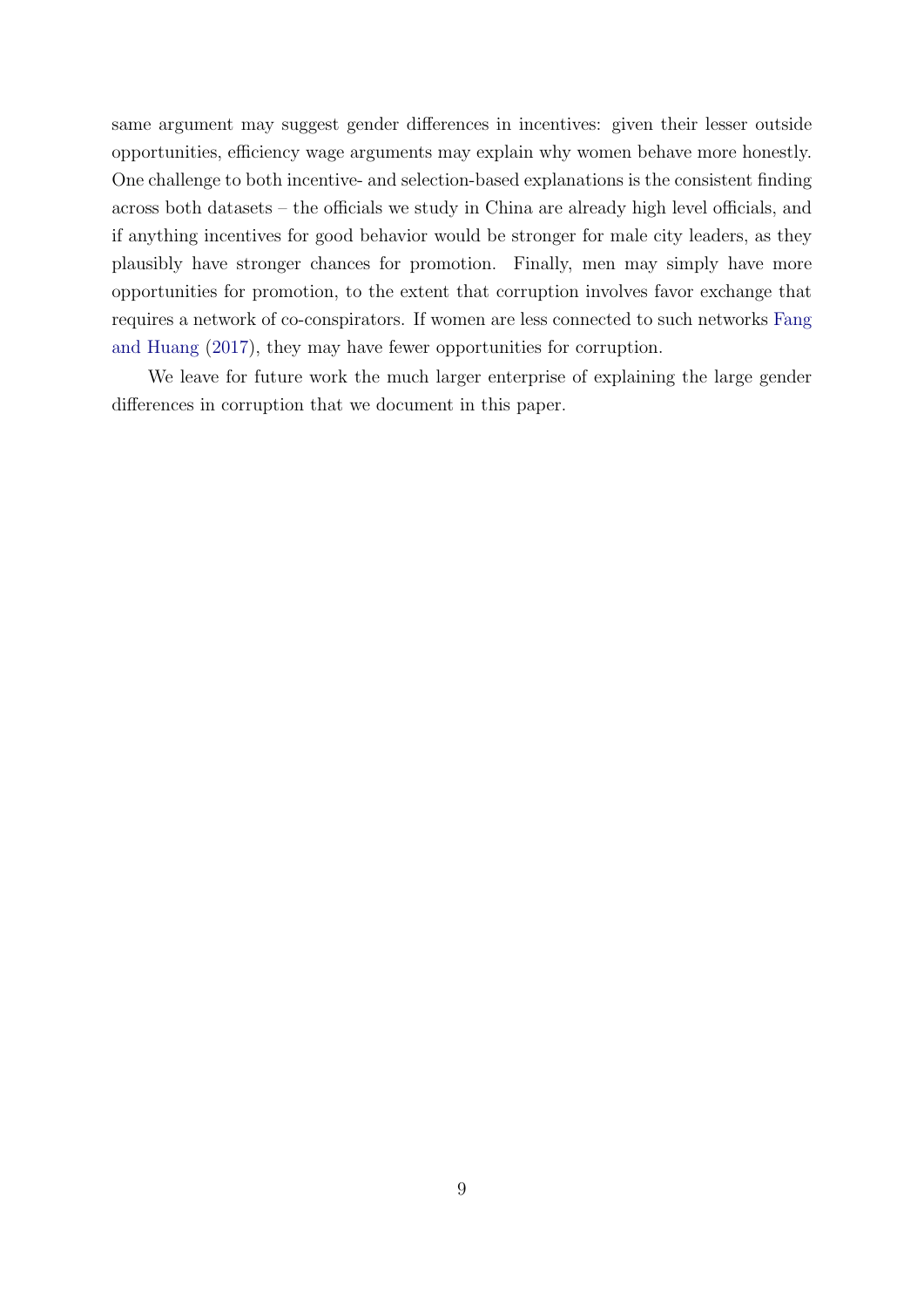same argument may suggest gender differences in incentives: given their lesser outside opportunities, efficiency wage arguments may explain why women behave more honestly. One challenge to both incentive- and selection-based explanations is the consistent finding across both datasets – the officials we study in China are already high level officials, and if anything incentives for good behavior would be stronger for male city leaders, as they plausibly have stronger chances for promotion. Finally, men may simply have more opportunities for promotion, to the extent that corruption involves favor exchange that requires a network of co-conspirators. If women are less connected to such networks [Fang](#page-11-7) [and Huang](#page-11-7) [\(2017\)](#page-11-7), they may have fewer opportunities for corruption.

We leave for future work the much larger enterprise of explaining the large gender differences in corruption that we document in this paper.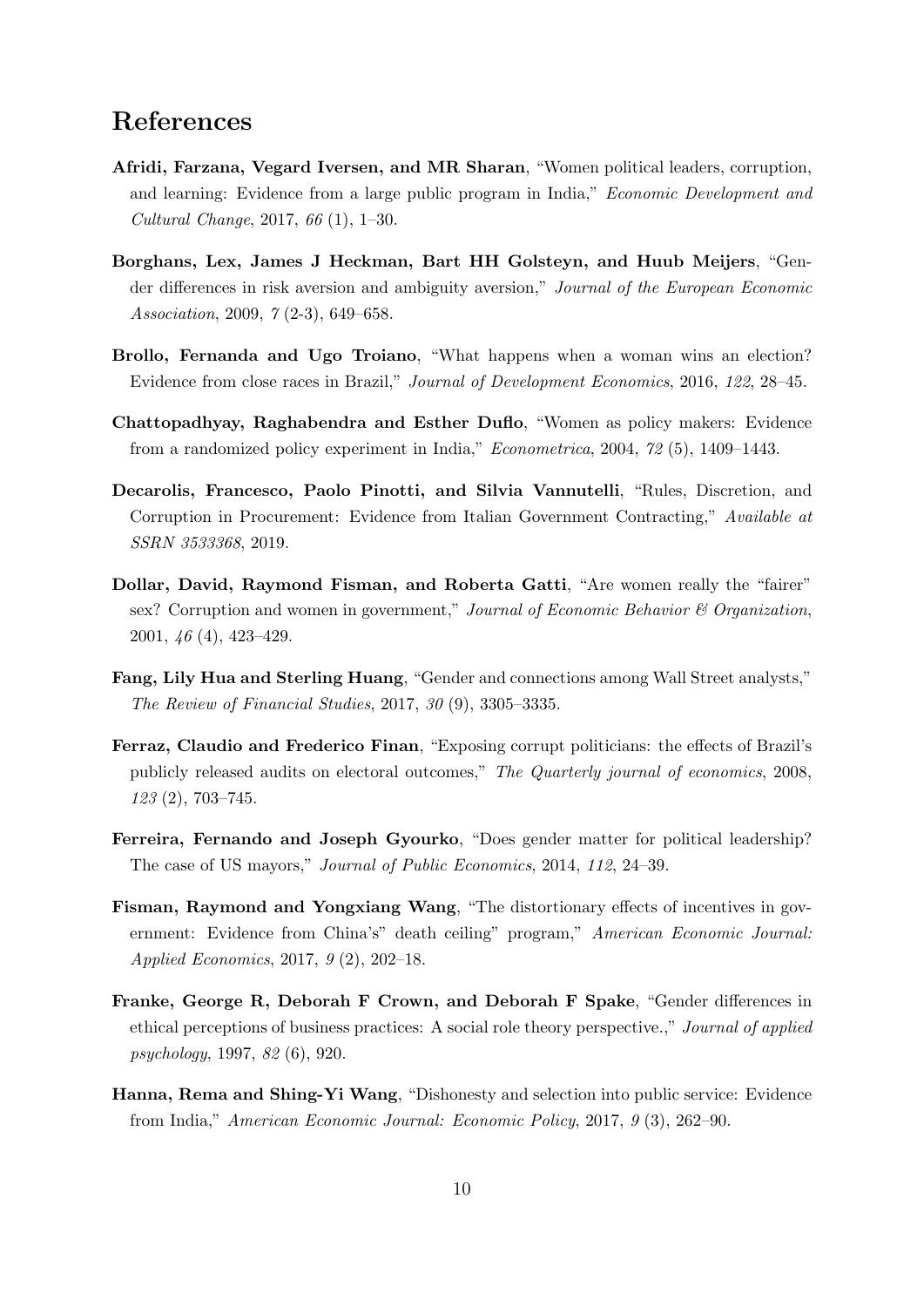## References

- <span id="page-11-4"></span>Afridi, Farzana, Vegard Iversen, and MR Sharan, "Women political leaders, corruption, and learning: Evidence from a large public program in India," Economic Development and Cultural Change, 2017, 66 (1), 1–30.
- <span id="page-11-10"></span>Borghans, Lex, James J Heckman, Bart HH Golsteyn, and Huub Meijers, "Gender differences in risk aversion and ambiguity aversion," Journal of the European Economic Association, 2009, 7 (2-3), 649–658.
- <span id="page-11-5"></span>Brollo, Fernanda and Ugo Troiano, "What happens when a woman wins an election? Evidence from close races in Brazil," Journal of Development Economics, 2016, 122, 28–45.
- <span id="page-11-2"></span>Chattopadhyay, Raghabendra and Esther Duflo, "Women as policy makers: Evidence from a randomized policy experiment in India," Econometrica, 2004, 72 (5), 1409–1443.
- <span id="page-11-9"></span>Decarolis, Francesco, Paolo Pinotti, and Silvia Vannutelli, "Rules, Discretion, and Corruption in Procurement: Evidence from Italian Government Contracting," Available at SSRN 3533368, 2019.
- <span id="page-11-3"></span>Dollar, David, Raymond Fisman, and Roberta Gatti, "Are women really the "fairer" sex? Corruption and women in government," Journal of Economic Behavior & Organization, 2001, 46 (4), 423–429.
- <span id="page-11-7"></span>Fang, Lily Hua and Sterling Huang, "Gender and connections among Wall Street analysts," The Review of Financial Studies, 2017, 30 (9), 3305–3335.
- <span id="page-11-6"></span>Ferraz, Claudio and Frederico Finan, "Exposing corrupt politicians: the effects of Brazil's publicly released audits on electoral outcomes," The Quarterly journal of economics, 2008, 123 (2), 703–745.
- <span id="page-11-1"></span>Ferreira, Fernando and Joseph Gyourko, "Does gender matter for political leadership? The case of US mayors," Journal of Public Economics, 2014, 112, 24–39.
- <span id="page-11-8"></span>Fisman, Raymond and Yongxiang Wang, "The distortionary effects of incentives in government: Evidence from China's" death ceiling" program," American Economic Journal: Applied Economics, 2017, 9 (2), 202–18.
- <span id="page-11-0"></span>Franke, George R, Deborah F Crown, and Deborah F Spake, "Gender differences in ethical perceptions of business practices: A social role theory perspective.," Journal of applied psychology, 1997, 82 (6), 920.
- <span id="page-11-11"></span>Hanna, Rema and Shing-Yi Wang, "Dishonesty and selection into public service: Evidence from India," American Economic Journal: Economic Policy, 2017, 9 (3), 262–90.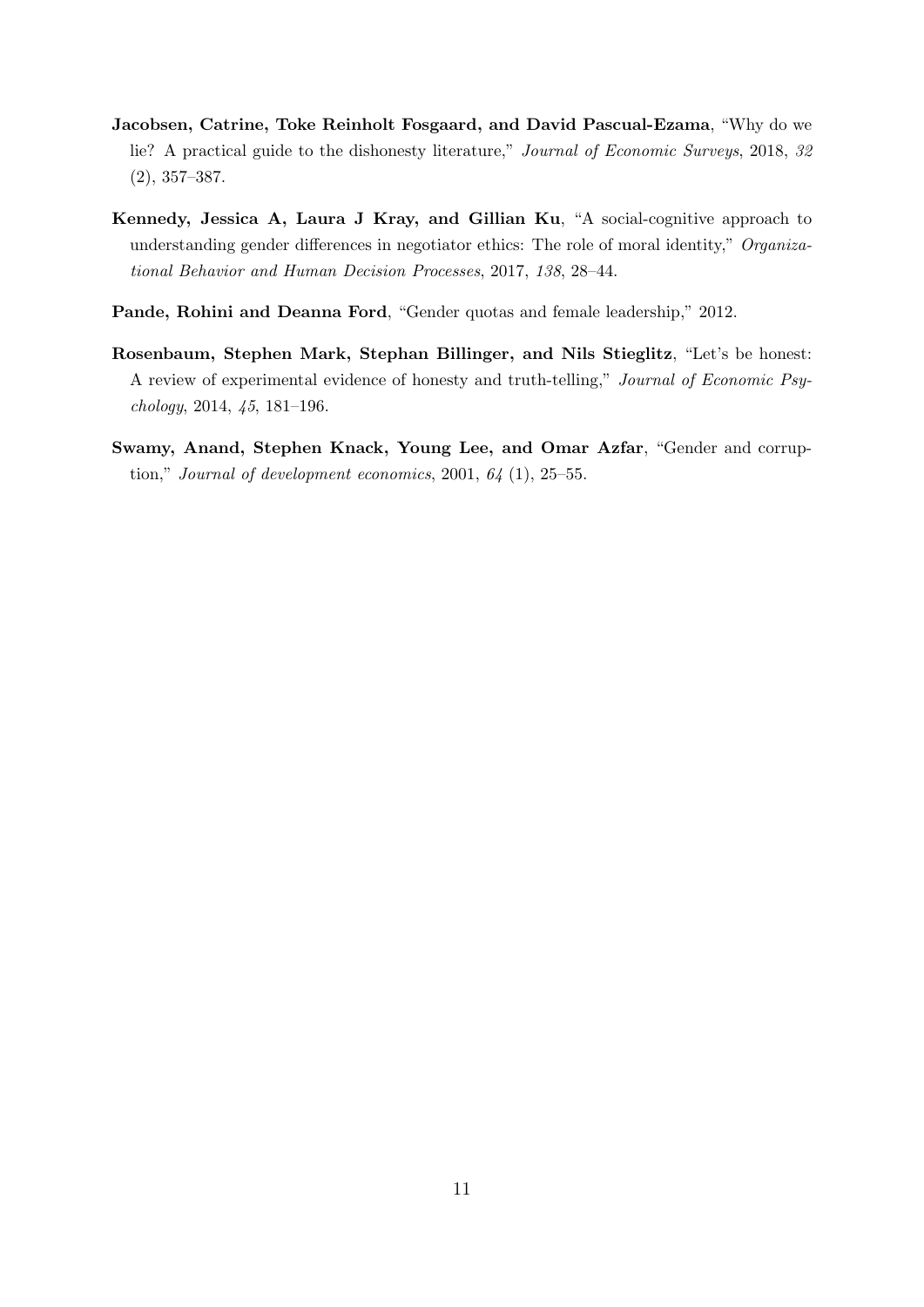- <span id="page-12-2"></span>Jacobsen, Catrine, Toke Reinholt Fosgaard, and David Pascual-Ezama, "Why do we lie? A practical guide to the dishonesty literature," Journal of Economic Surveys, 2018, 32 (2), 357–387.
- <span id="page-12-1"></span>Kennedy, Jessica A, Laura J Kray, and Gillian Ku, "A social-cognitive approach to understanding gender differences in negotiator ethics: The role of moral identity," Organizational Behavior and Human Decision Processes, 2017, 138, 28–44.
- <span id="page-12-3"></span>Pande, Rohini and Deanna Ford, "Gender quotas and female leadership," 2012.
- <span id="page-12-0"></span>Rosenbaum, Stephen Mark, Stephan Billinger, and Nils Stieglitz, "Let's be honest: A review of experimental evidence of honesty and truth-telling," Journal of Economic Psychology, 2014, 45, 181–196.
- <span id="page-12-4"></span>Swamy, Anand, Stephen Knack, Young Lee, and Omar Azfar, "Gender and corruption," Journal of development economics,  $2001, 64$  (1),  $25-55$ .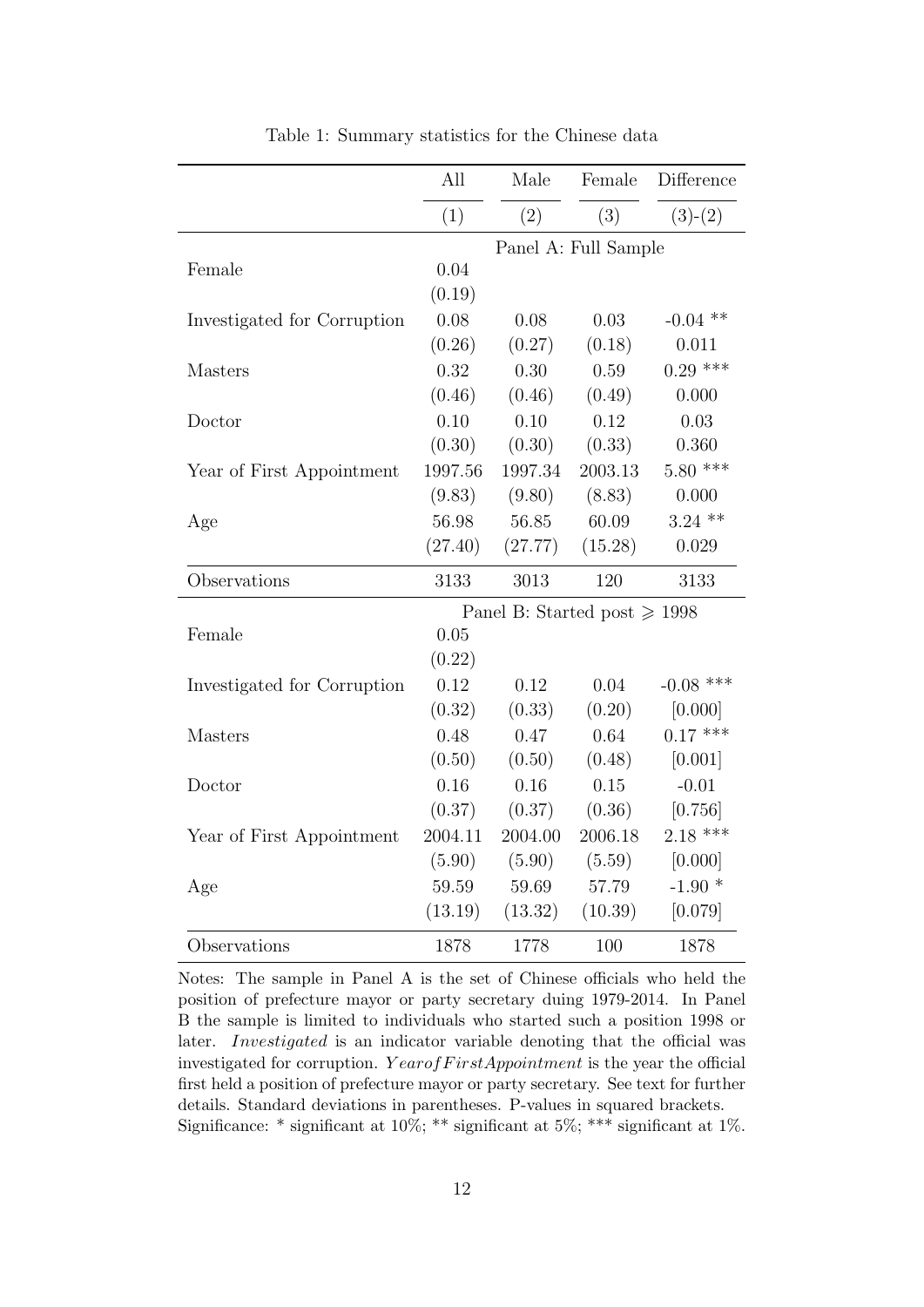<span id="page-13-0"></span>

|                             | All     | Male                              | Female  | Difference  |  |  |
|-----------------------------|---------|-----------------------------------|---------|-------------|--|--|
|                             | (1)     | (2)                               | (3)     | $(3)-(2)$   |  |  |
|                             |         | Panel A: Full Sample              |         |             |  |  |
| Female                      | 0.04    |                                   |         |             |  |  |
|                             | (0.19)  |                                   |         |             |  |  |
| Investigated for Corruption | 0.08    | 0.08                              | 0.03    | $-0.04$ **  |  |  |
|                             | (0.26)  | (0.27)                            | (0.18)  | 0.011       |  |  |
| Masters                     | 0.32    | 0.30                              | 0.59    | $0.29$ ***  |  |  |
|                             | (0.46)  | (0.46)                            | (0.49)  | 0.000       |  |  |
| Doctor                      | 0.10    | 0.10                              | 0.12    | 0.03        |  |  |
|                             | (0.30)  | (0.30)                            | (0.33)  | 0.360       |  |  |
| Year of First Appointment   | 1997.56 | 1997.34                           | 2003.13 | $5.80$ ***  |  |  |
|                             | (9.83)  | (9.80)                            | (8.83)  | 0.000       |  |  |
| Age                         | 56.98   | 56.85                             | 60.09   | $3.24$ **   |  |  |
|                             | (27.40) | (27.77)                           | (15.28) | 0.029       |  |  |
| Observations                | 3133    | 3013                              | 120     | 3133        |  |  |
|                             |         | Panel B: Started post $\geq 1998$ |         |             |  |  |
| Female                      | 0.05    |                                   |         |             |  |  |
|                             | (0.22)  |                                   |         |             |  |  |
| Investigated for Corruption | 0.12    | 0.12                              | 0.04    | $-0.08$ *** |  |  |
|                             | (0.32)  | (0.33)                            | (0.20)  | [0.000]     |  |  |
| Masters                     | 0.48    | 0.47                              | 0.64    | $0.17$ ***  |  |  |
|                             | (0.50)  | (0.50)                            | (0.48)  | [0.001]     |  |  |
| Doctor                      | 0.16    | 0.16                              | 0.15    | $-0.01$     |  |  |
|                             | (0.37)  | (0.37)                            | (0.36)  | [0.756]     |  |  |
| Year of First Appointment   | 2004.11 | 2004.00                           | 2006.18 | $2.18$ ***  |  |  |
|                             | (5.90)  | (5.90)                            | (5.59)  | [0.000]     |  |  |
| Age                         | 59.59   | 59.69                             | 57.79   | $-1.90*$    |  |  |
|                             | (13.19) | (13.32)                           | (10.39) | [0.079]     |  |  |
| Observations                | 1878    | 1778                              | 100     | 1878        |  |  |

Table 1: Summary statistics for the Chinese data

Notes: The sample in Panel A is the set of Chinese officials who held the position of prefecture mayor or party secretary duing 1979-2014. In Panel B the sample is limited to individuals who started such a position 1998 or later. Investigated is an indicator variable denoting that the official was investigated for corruption.  $Year of First Appointment$  is the year the official first held a position of prefecture mayor or party secretary. See text for further details. Standard deviations in parentheses. P-values in squared brackets. Significance: \* significant at  $10\%$ ; \*\* significant at  $5\%$ ; \*\*\* significant at  $1\%$ .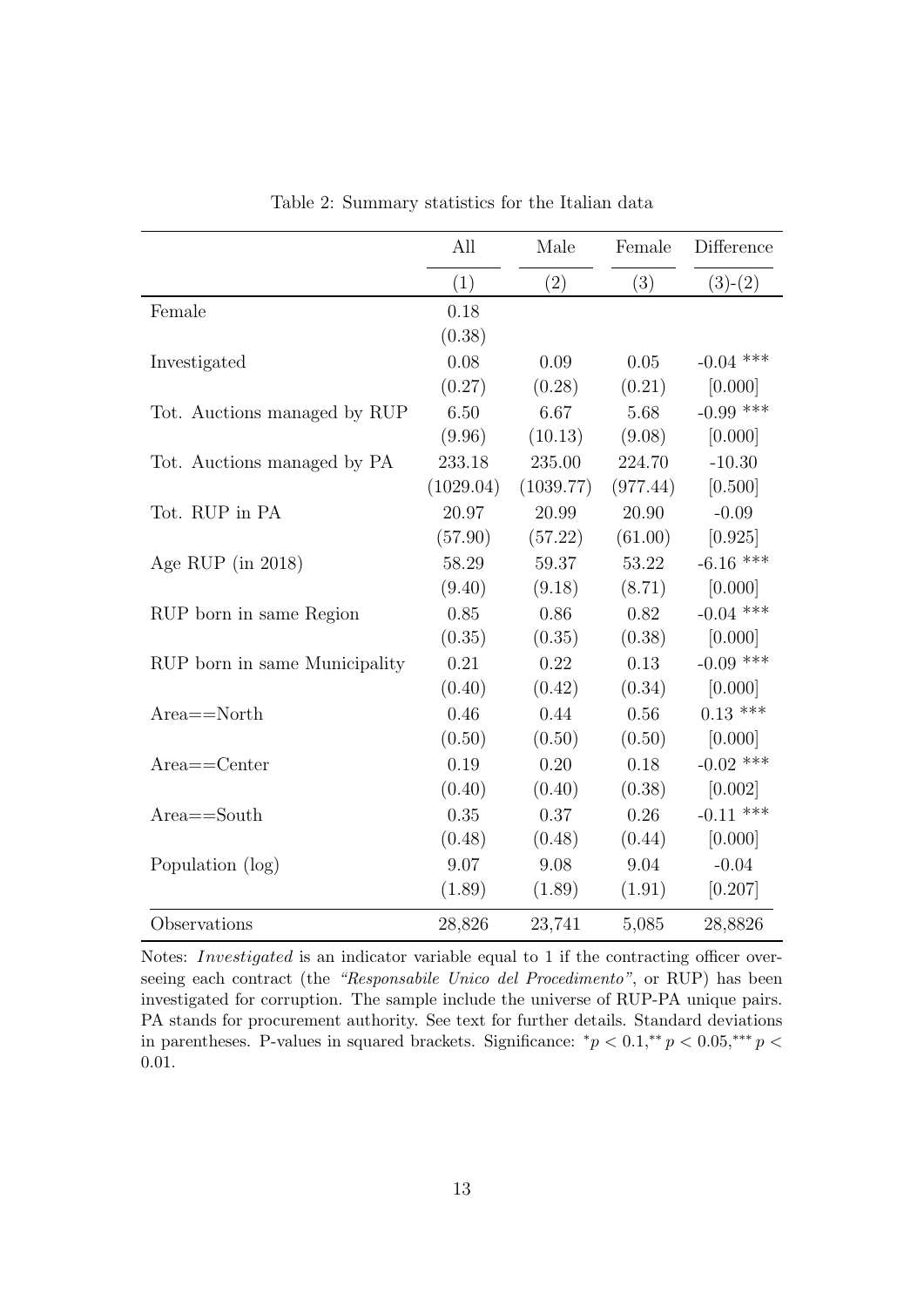<span id="page-14-0"></span>

|                               | All       | Male      | Female   | Difference  |
|-------------------------------|-----------|-----------|----------|-------------|
|                               | (1)       | (2)       | (3)      | $(3)-(2)$   |
| Female                        | 0.18      |           |          |             |
|                               | (0.38)    |           |          |             |
| Investigated                  | 0.08      | 0.09      | 0.05     | $-0.04$ *** |
|                               | (0.27)    | (0.28)    | (0.21)   | [0.000]     |
| Tot. Auctions managed by RUP  | 6.50      | 6.67      | 5.68     | $-0.99$ *** |
|                               | (9.96)    | (10.13)   | (9.08)   | [0.000]     |
| Tot. Auctions managed by PA   | 233.18    | 235.00    | 224.70   | $-10.30$    |
|                               | (1029.04) | (1039.77) | (977.44) | [0.500]     |
| Tot. RUP in PA                | 20.97     | 20.99     | 20.90    | $-0.09$     |
|                               | (57.90)   | (57.22)   | (61.00)  | [0.925]     |
| Age RUP (in $2018$ )          | 58.29     | 59.37     | 53.22    | $-6.16$ *** |
|                               | (9.40)    | (9.18)    | (8.71)   | [0.000]     |
| RUP born in same Region       | 0.85      | 0.86      | 0.82     | $-0.04$ *** |
|                               | (0.35)    | (0.35)    | (0.38)   | [0.000]     |
| RUP born in same Municipality | 0.21      | 0.22      | 0.13     | $-0.09$ *** |
|                               | (0.40)    | (0.42)    | (0.34)   | [0.000]     |
| $Area = = North$              | 0.46      | 0.44      | 0.56     | $0.13$ ***  |
|                               | (0.50)    | (0.50)    | (0.50)   | [0.000]     |
| $Area =$ Center               | 0.19      | 0.20      | 0.18     | $-0.02$ *** |
|                               | (0.40)    | (0.40)    | (0.38)   | [0.002]     |
| $Area = South$                | 0.35      | 0.37      | 0.26     | $-0.11$ *** |
|                               | (0.48)    | (0.48)    | (0.44)   | [0.000]     |
| Population (log)              | 9.07      | 9.08      | 9.04     | $-0.04$     |
|                               | (1.89)    | (1.89)    | (1.91)   | [0.207]     |
| Observations                  | 28,826    | 23,741    | 5,085    | 28,8826     |

Table 2: Summary statistics for the Italian data

Notes: Investigated is an indicator variable equal to 1 if the contracting officer overseeing each contract (the "Responsabile Unico del Procedimento", or RUP) has been investigated for corruption. The sample include the universe of RUP-PA unique pairs. PA stands for procurement authority. See text for further details. Standard deviations in parentheses. P-values in squared brackets. Significance:  $^*p < 0.1, ^{**}p < 0.05, ^{***}p <$ 0.01.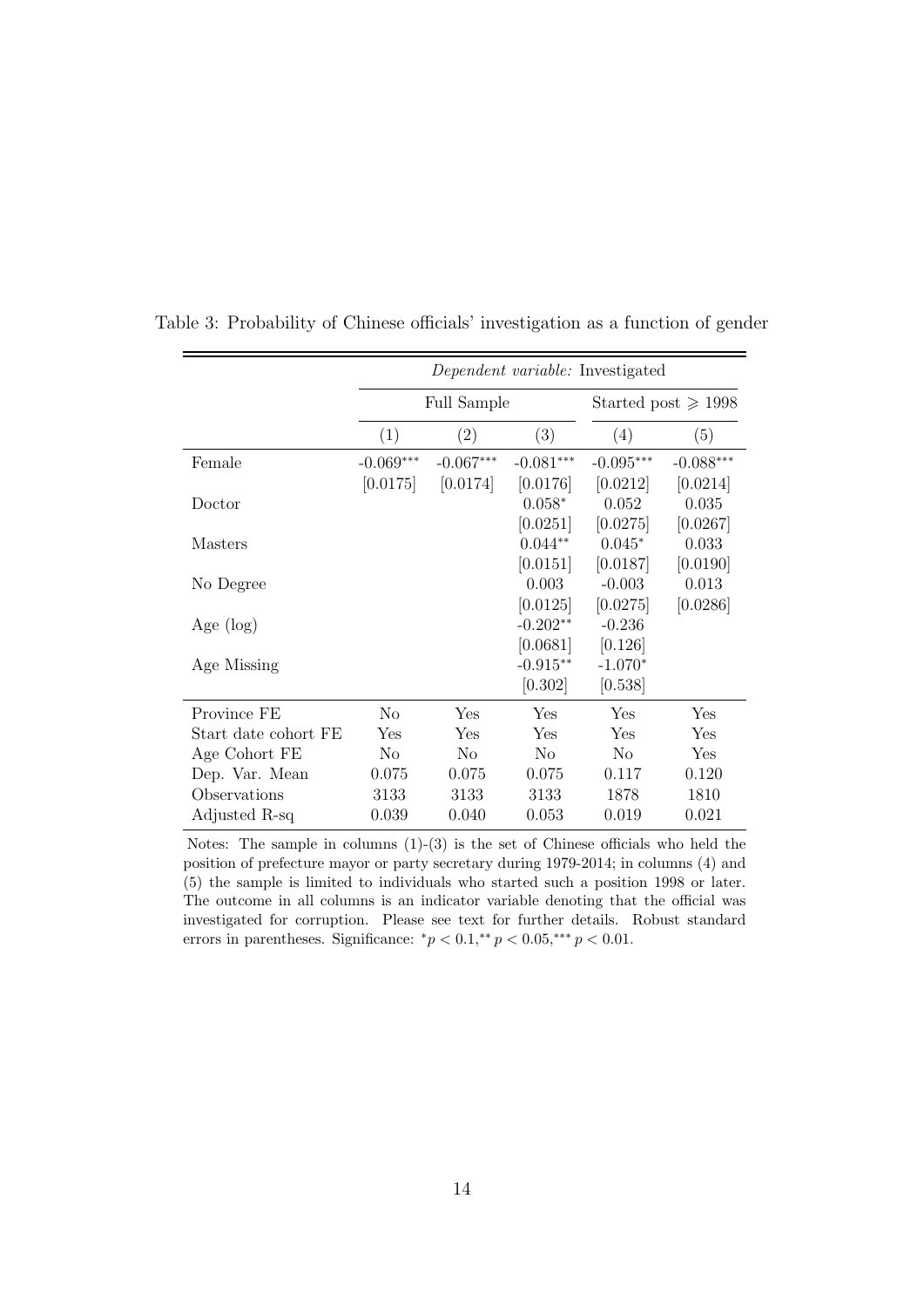|                      | Dependent variable: Investigated |                    |                               |             |             |  |
|----------------------|----------------------------------|--------------------|-------------------------------|-------------|-------------|--|
|                      |                                  | <b>Full Sample</b> | Started post $\geqslant$ 1998 |             |             |  |
|                      | (1)                              | (2)                | (3)                           | (4)         | (5)         |  |
| Female               | $-0.069***$                      | $-0.067***$        | $-0.081***$                   | $-0.095***$ | $-0.088***$ |  |
|                      | [0.0175]                         | [0.0174]           | [0.0176]                      | [0.0212]    | [0.0214]    |  |
| Doctor               |                                  |                    | $0.058*$                      | 0.052       | 0.035       |  |
|                      |                                  |                    | [0.0251]                      | [0.0275]    | [0.0267]    |  |
| Masters              |                                  |                    | $0.044**$                     | $0.045*$    | 0.033       |  |
|                      |                                  |                    | [0.0151]                      | [0.0187]    | [0.0190]    |  |
| No Degree            |                                  |                    | 0.003                         | $-0.003$    | 0.013       |  |
|                      |                                  |                    | [0.0125]                      | [0.0275]    | [0.0286]    |  |
| Age $(\log)$         |                                  |                    | $-0.202**$                    | $-0.236$    |             |  |
|                      |                                  |                    | [0.0681]                      | [0.126]     |             |  |
| Age Missing          |                                  |                    | $-0.915**$                    | $-1.070*$   |             |  |
|                      |                                  |                    | [0.302]                       | [0.538]     |             |  |
| Province FE          | No                               | Yes                | Yes                           | Yes         | Yes         |  |
| Start date cohort FE | Yes                              | Yes                | Yes                           | Yes         | Yes         |  |
| Age Cohort FE        | N <sub>o</sub>                   | No                 | N <sub>o</sub>                | No          | Yes         |  |
| Dep. Var. Mean       | 0.075                            | 0.075              | 0.075                         | 0.117       | 0.120       |  |
| Observations         | 3133                             | 3133               | 3133                          | 1878        | 1810        |  |
| Adjusted R-sq        | 0.039                            | 0.040              | 0.053                         | 0.019       | 0.021       |  |

Table 3: Probability of Chinese officials' investigation as a function of gender

Notes: The sample in columns (1)-(3) is the set of Chinese officials who held the position of prefecture mayor or party secretary during 1979-2014; in columns (4) and (5) the sample is limited to individuals who started such a position 1998 or later. The outcome in all columns is an indicator variable denoting that the official was investigated for corruption. Please see text for further details. Robust standard errors in parentheses. Significance:  $^*p < 0.1, ^{**}p < 0.05, ^{***}p < 0.01$ .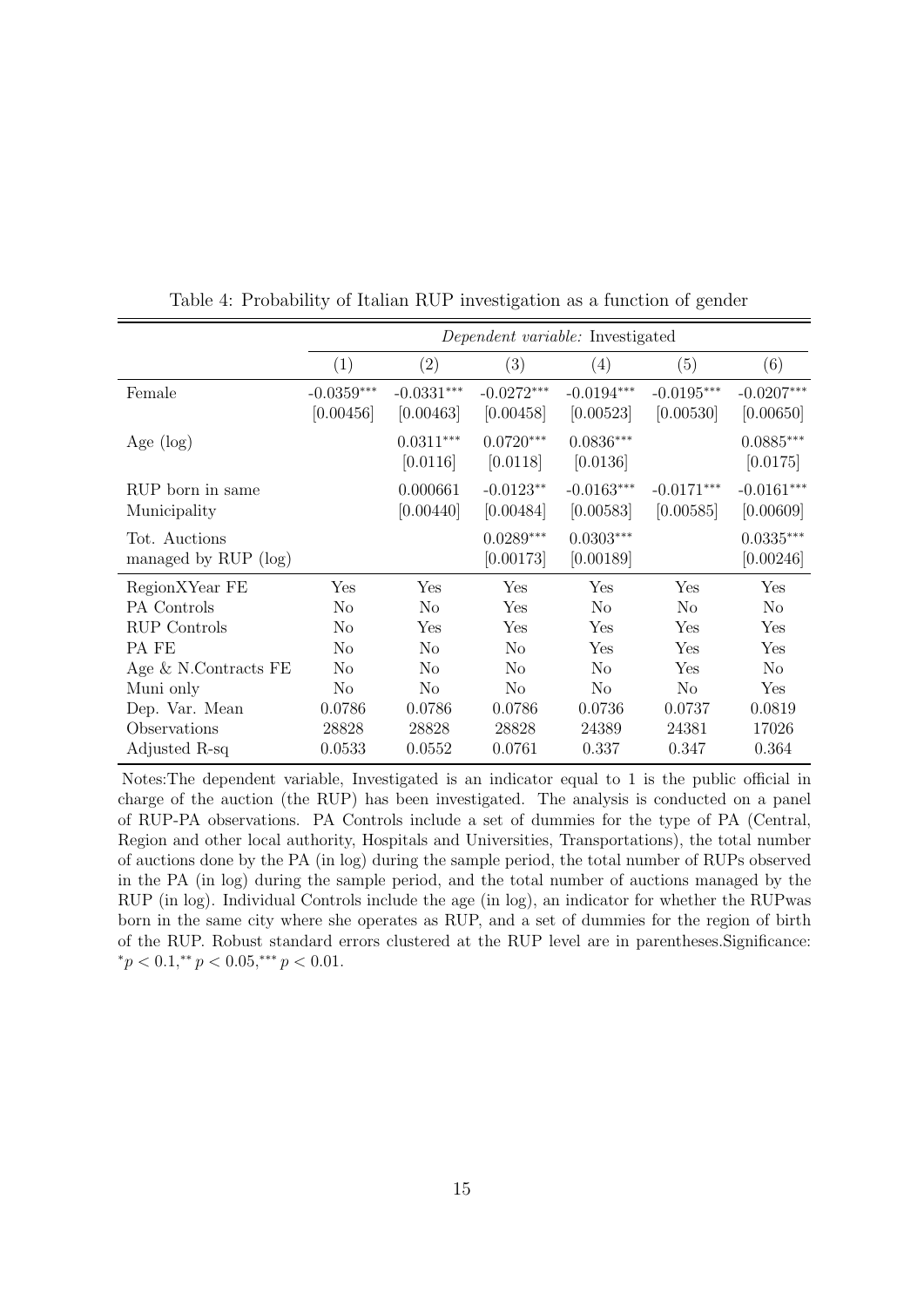|                                       | Dependent variable: Investigated |                           |                           |                           |                           |                           |
|---------------------------------------|----------------------------------|---------------------------|---------------------------|---------------------------|---------------------------|---------------------------|
|                                       | (1)                              | (2)                       | (3)                       | $\left( 4\right)$         | (5)                       | (6)                       |
| Female                                | $-0.0359***$<br>[0.00456]        | $-0.0331***$<br>[0.00463] | $-0.0272***$<br>[0.00458] | $-0.0194***$<br>[0.00523] | $-0.0195***$<br>[0.00530] | $-0.0207***$<br>[0.00650] |
| Age $(\log)$                          |                                  | $0.0311***$<br>[0.0116]   | $0.0720***$<br>[0.0118]   | $0.0836***$<br>[0.0136]   |                           | $0.0885***$<br>[0.0175]   |
| RUP born in same<br>Municipality      |                                  | 0.000661<br>[0.00440]     | $-0.0123**$<br>[0.00484]  | $-0.0163***$<br>[0.00583] | $-0.0171***$<br>[0.00585] | $-0.0161***$<br>[0.00609] |
| Tot. Auctions<br>managed by RUP (log) |                                  |                           | $0.0289***$<br>[0.00173]  | $0.0303***$<br>[0.00189]  |                           | $0.0335***$<br>[0.00246]  |
| RegionXYear FE                        | Yes                              | Yes                       | Yes                       | Yes                       | Yes                       | Yes                       |
| PA Controls                           | No                               | N <sub>o</sub>            | Yes                       | No                        | No                        | N <sub>o</sub>            |
| RUP Controls                          | No                               | Yes                       | Yes                       | Yes                       | Yes                       | Yes                       |
| PA FE                                 | No                               | N <sub>o</sub>            | No                        | Yes                       | Yes                       | Yes                       |
| Age $\&$ N.Contracts FE               | No                               | N <sub>0</sub>            | No                        | No                        | Yes                       | N <sub>0</sub>            |
| Muni only                             | N <sub>o</sub>                   | N <sub>o</sub>            | N <sub>o</sub>            | No                        | N <sub>o</sub>            | Yes                       |
| Dep. Var. Mean                        | 0.0786                           | 0.0786                    | 0.0786                    | 0.0736                    | 0.0737                    | 0.0819                    |
| Observations                          | 28828                            | 28828                     | 28828                     | 24389                     | 24381                     | 17026                     |
| Adjusted R-sq                         | 0.0533                           | 0.0552                    | 0.0761                    | 0.337                     | 0.347                     | 0.364                     |

Table 4: Probability of Italian RUP investigation as a function of gender

Notes:The dependent variable, Investigated is an indicator equal to 1 is the public official in charge of the auction (the RUP) has been investigated. The analysis is conducted on a panel of RUP-PA observations. PA Controls include a set of dummies for the type of PA (Central, Region and other local authority, Hospitals and Universities, Transportations), the total number of auctions done by the PA (in log) during the sample period, the total number of RUPs observed in the PA (in log) during the sample period, and the total number of auctions managed by the RUP (in log). Individual Controls include the age (in log), an indicator for whether the RUPwas born in the same city where she operates as RUP, and a set of dummies for the region of birth of the RUP. Robust standard errors clustered at the RUP level are in parentheses.Significance:  ${}^*p < 0.1, {}^{**}p < 0.05, {}^{***}p < 0.01.$